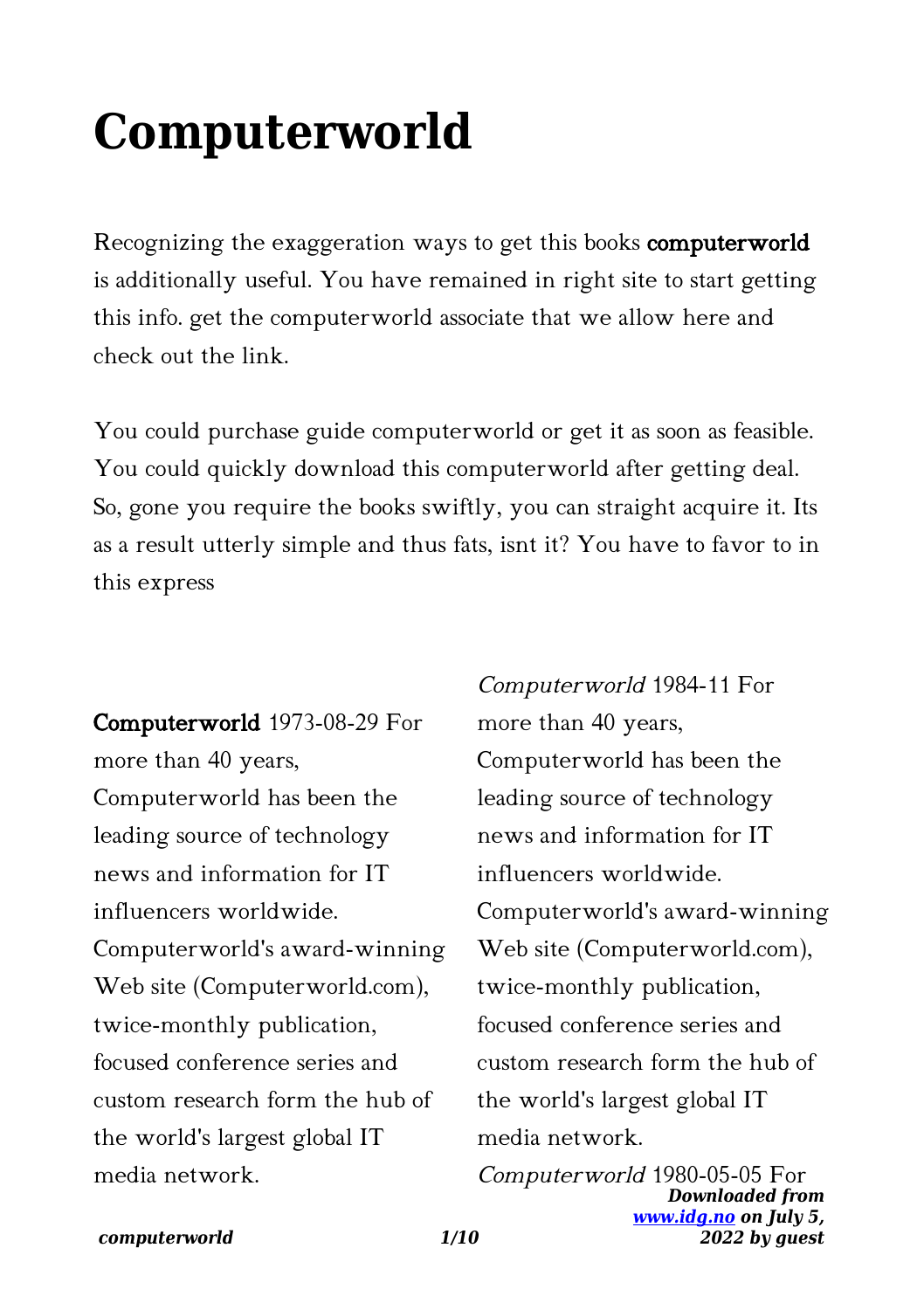# **Computerworld**

Recognizing the exaggeration ways to get this books computerworld is additionally useful. You have remained in right site to start getting this info. get the computerworld associate that we allow here and check out the link.

You could purchase guide computerworld or get it as soon as feasible. You could quickly download this computerworld after getting deal. So, gone you require the books swiftly, you can straight acquire it. Its as a result utterly simple and thus fats, isnt it? You have to favor to in this express

Computerworld 1973-08-29 For more than 40 years, Computerworld has been the leading source of technology news and information for IT influencers worldwide. Computerworld's award-winning Web site (Computerworld.com), twice-monthly publication, focused conference series and custom research form the hub of the world's largest global IT media network.

Computerworld 1984-11 For more than 40 years, Computerworld has been the leading source of technology news and information for IT influencers worldwide. Computerworld's award-winning Web site (Computerworld.com), twice-monthly publication, focused conference series and custom research form the hub of the world's largest global IT media network.

*Downloaded from [www.idg.no](http://www.idg.no) on July 5, 2022 by guest* Computerworld 1980-05-05 For

#### *computerworld 1/10*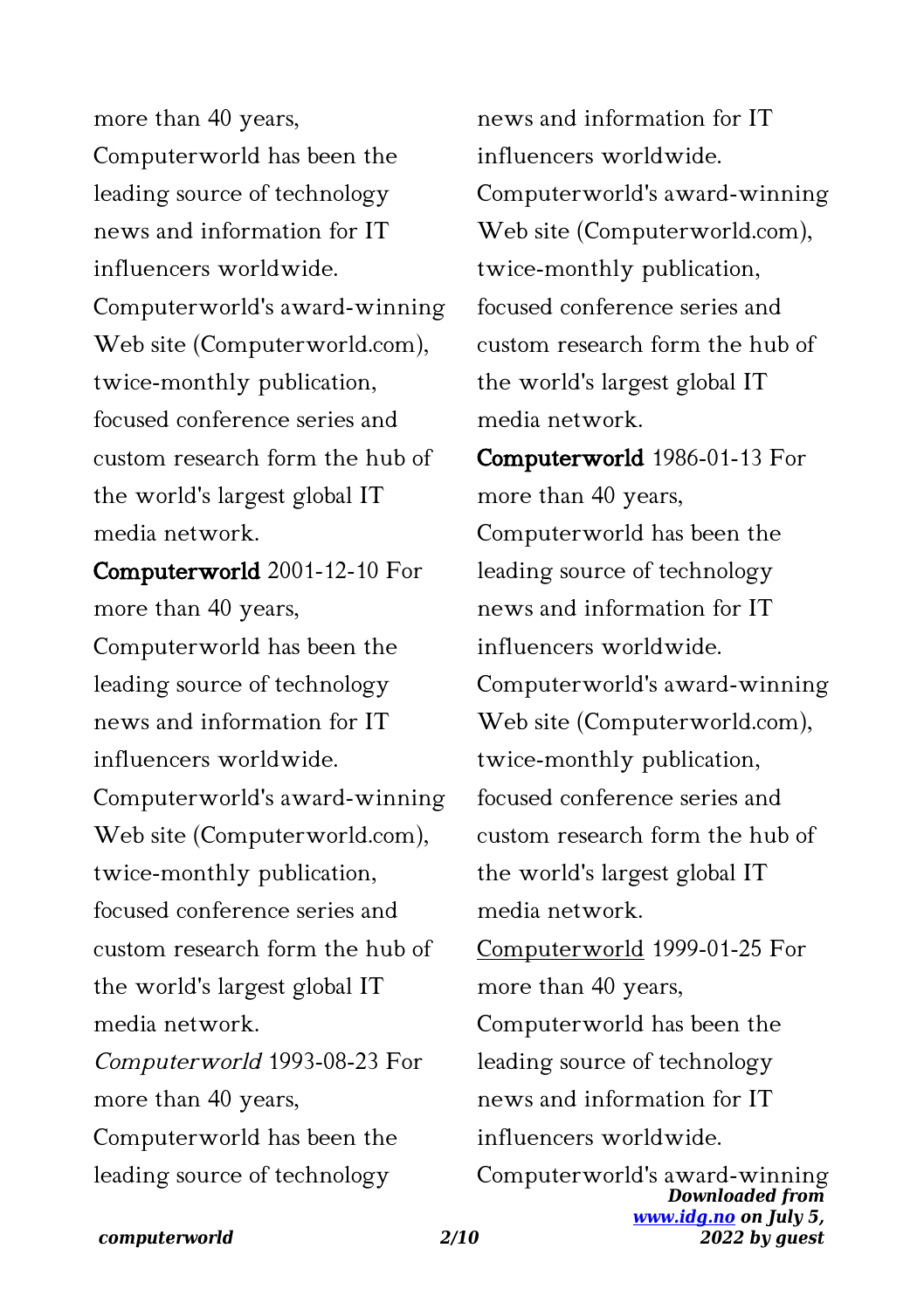more than 40 years, Computerworld has been the leading source of technology news and information for IT influencers worldwide. Computerworld's award-winning Web site (Computerworld.com), twice-monthly publication, focused conference series and custom research form the hub of the world's largest global IT media network.

Computerworld 2001-12-10 For more than 40 years, Computerworld has been the leading source of technology news and information for IT influencers worldwide. Computerworld's award-winning Web site (Computerworld.com), twice-monthly publication, focused conference series and custom research form the hub of the world's largest global IT media network. Computerworld 1993-08-23 For more than 40 years, Computerworld has been the leading source of technology

news and information for IT influencers worldwide. Computerworld's award-winning Web site (Computerworld.com), twice-monthly publication, focused conference series and custom research form the hub of the world's largest global IT media network.

Computerworld 1986-01-13 For more than 40 years, Computerworld has been the leading source of technology news and information for IT influencers worldwide. Computerworld's award-winning Web site (Computerworld.com), twice-monthly publication, focused conference series and custom research form the hub of the world's largest global IT media network. Computerworld 1999-01-25 For more than 40 years, Computerworld has been the leading source of technology news and information for IT influencers worldwide.

*Downloaded from [www.idg.no](http://www.idg.no) on July 5, 2022 by guest* Computerworld's award-winning

*computerworld 2/10*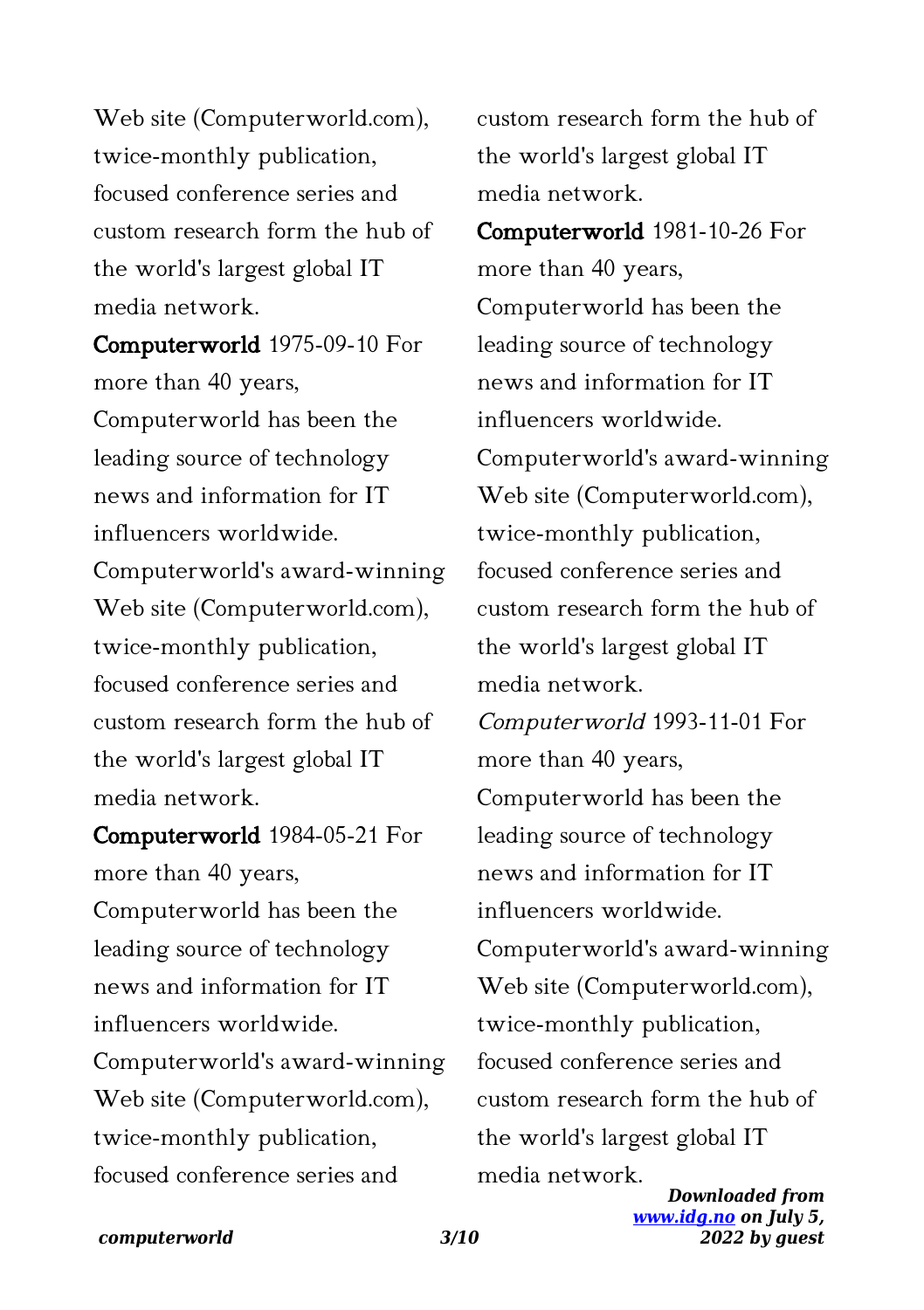Web site (Computerworld.com), twice-monthly publication, focused conference series and custom research form the hub of the world's largest global IT media network.

Computerworld 1975-09-10 For more than 40 years, Computerworld has been the leading source of technology news and information for IT influencers worldwide. Computerworld's award-winning Web site (Computerworld.com), twice-monthly publication, focused conference series and custom research form the hub of the world's largest global IT media network.

Computerworld 1984-05-21 For more than 40 years, Computerworld has been the leading source of technology news and information for IT influencers worldwide. Computerworld's award-winning Web site (Computerworld.com), twice-monthly publication, focused conference series and

custom research form the hub of the world's largest global IT media network.

Computerworld 1981-10-26 For more than 40 years, Computerworld has been the leading source of technology news and information for IT influencers worldwide. Computerworld's award-winning Web site (Computerworld.com), twice-monthly publication, focused conference series and custom research form the hub of the world's largest global IT media network. Computerworld 1993-11-01 For more than 40 years, Computerworld has been the leading source of technology news and information for IT influencers worldwide. Computerworld's award-winning Web site (Computerworld.com), twice-monthly publication, focused conference series and custom research form the hub of the world's largest global IT media network.

*Downloaded from [www.idg.no](http://www.idg.no) on July 5, 2022 by guest*

### *computerworld 3/10*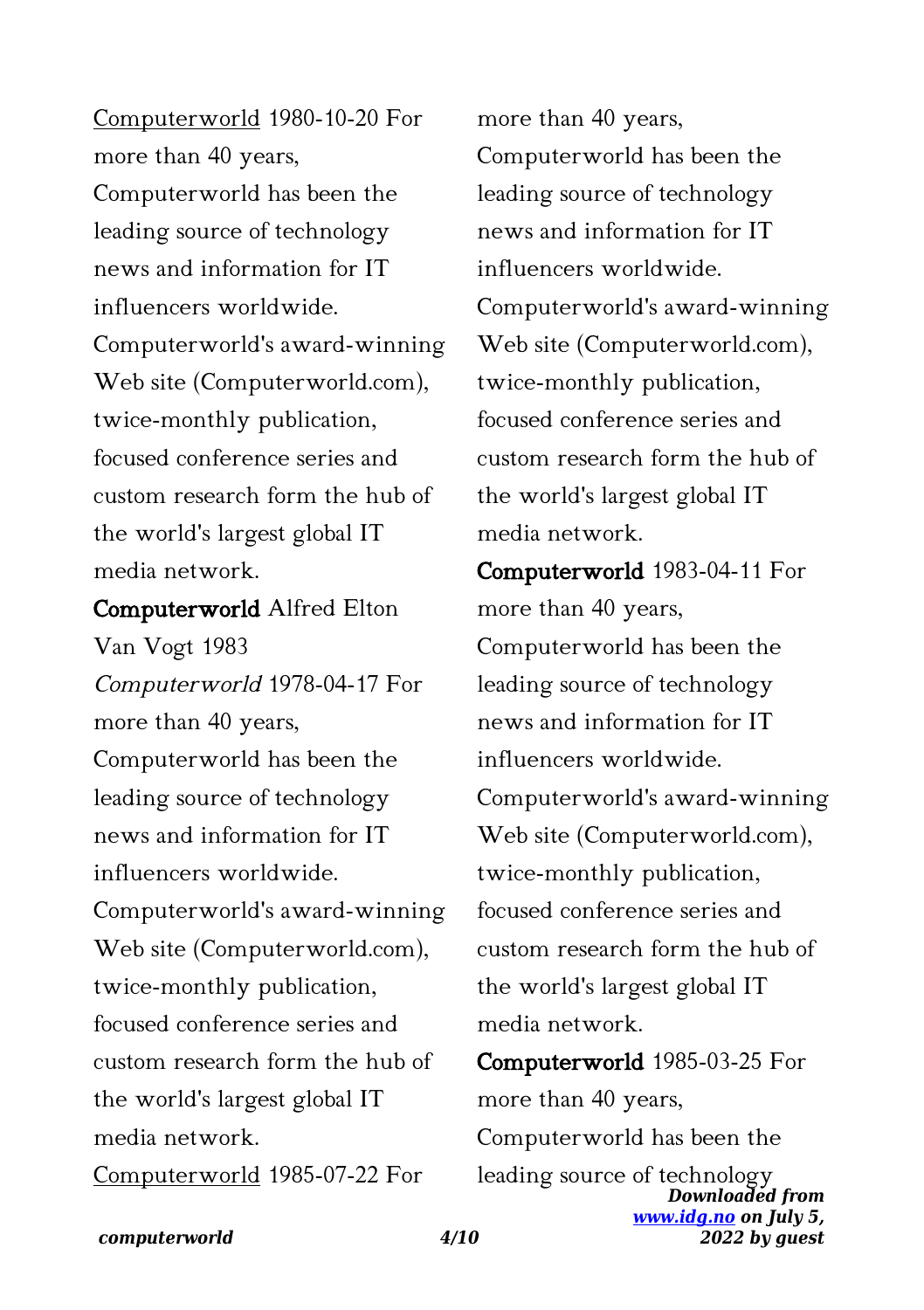Computerworld 1980-10-20 For more than 40 years, Computerworld has been the leading source of technology news and information for IT influencers worldwide. Computerworld's award-winning Web site (Computerworld.com), twice-monthly publication, focused conference series and custom research form the hub of the world's largest global IT media network.

Computerworld Alfred Elton Van Vogt 1983 Computerworld 1978-04-17 For more than 40 years, Computerworld has been the leading source of technology news and information for IT influencers worldwide. Computerworld's award-winning Web site (Computerworld.com), twice-monthly publication, focused conference series and custom research form the hub of the world's largest global IT media network. Computerworld 1985-07-22 For

more than 40 years, Computerworld has been the leading source of technology news and information for IT influencers worldwide. Computerworld's award-winning Web site (Computerworld.com), twice-monthly publication, focused conference series and custom research form the hub of the world's largest global IT media network.

Computerworld 1983-04-11 For more than 40 years, Computerworld has been the leading source of technology news and information for IT influencers worldwide. Computerworld's award-winning Web site (Computerworld.com), twice-monthly publication, focused conference series and custom research form the hub of the world's largest global IT media network.

Computerworld 1985-03-25 For more than 40 years, Computerworld has been the leading source of technology

*Downloaded from [www.idg.no](http://www.idg.no) on July 5, 2022 by guest*

#### *computerworld 4/10*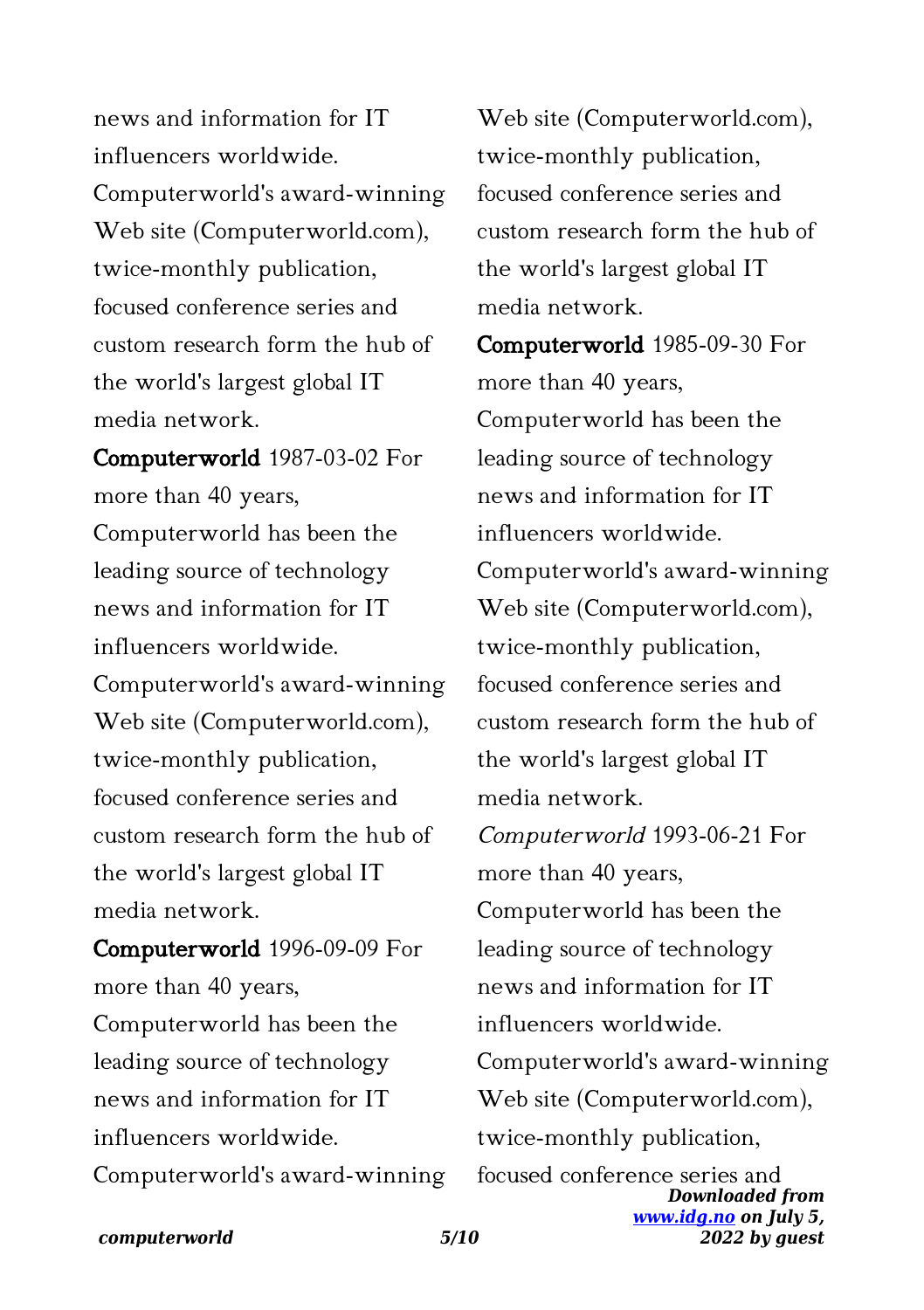news and information for IT influencers worldwide. Computerworld's award-winning Web site (Computerworld.com), twice-monthly publication, focused conference series and custom research form the hub of the world's largest global IT media network.

Computerworld 1987-03-02 For more than 40 years, Computerworld has been the leading source of technology news and information for IT influencers worldwide. Computerworld's award-winning Web site (Computerworld.com), twice-monthly publication, focused conference series and custom research form the hub of the world's largest global IT media network.

Computerworld 1996-09-09 For more than 40 years, Computerworld has been the leading source of technology news and information for IT influencers worldwide. Computerworld's award-winning Web site (Computerworld.com), twice-monthly publication, focused conference series and custom research form the hub of the world's largest global IT media network.

*Downloaded from [www.idg.no](http://www.idg.no) on July 5,* Computerworld 1985-09-30 For more than 40 years, Computerworld has been the leading source of technology news and information for IT influencers worldwide. Computerworld's award-winning Web site (Computerworld.com), twice-monthly publication, focused conference series and custom research form the hub of the world's largest global IT media network. Computerworld 1993-06-21 For more than 40 years, Computerworld has been the leading source of technology news and information for IT influencers worldwide. Computerworld's award-winning Web site (Computerworld.com), twice-monthly publication, focused conference series and

*2022 by guest*

*computerworld 5/10*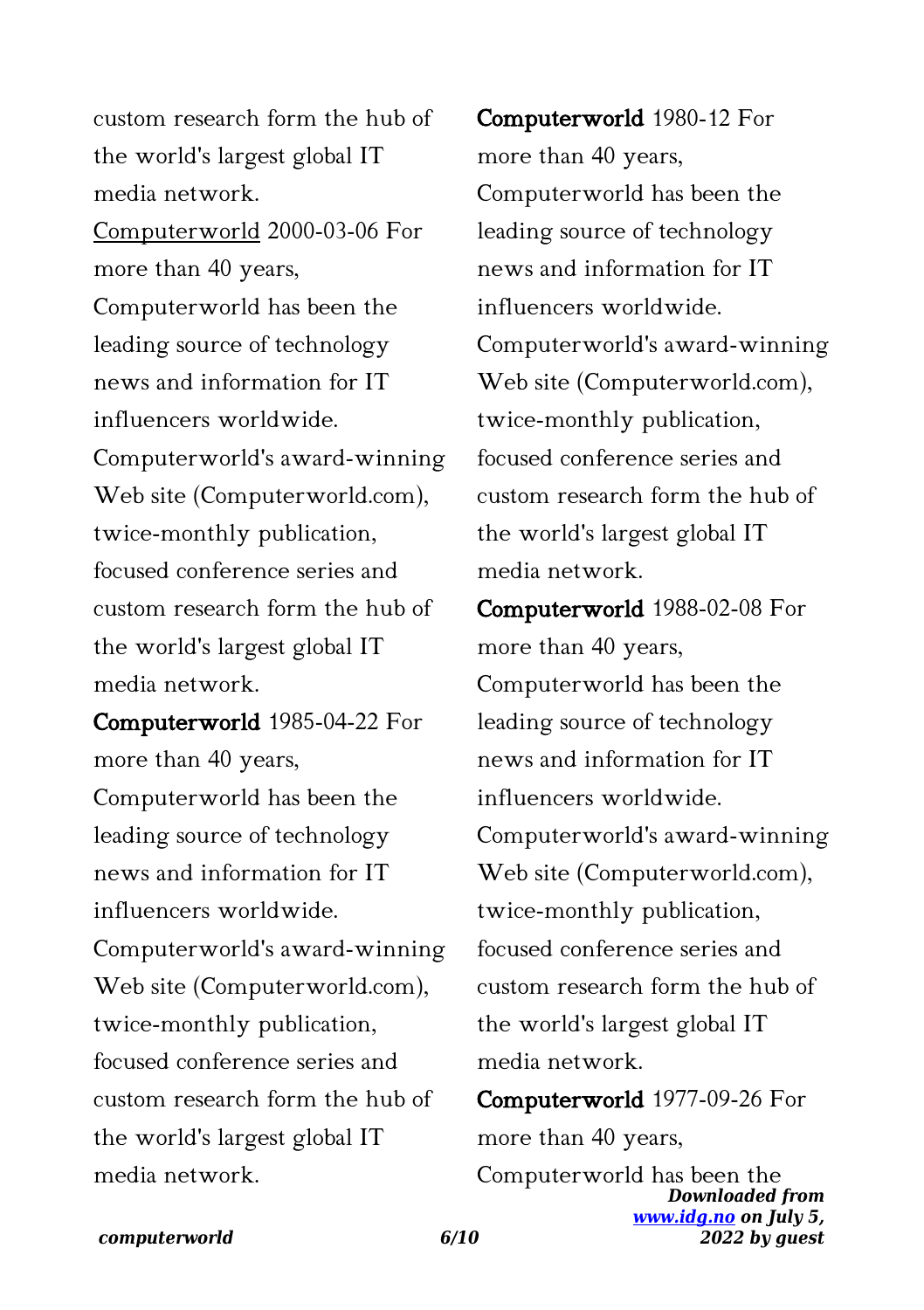custom research form the hub of the world's largest global IT media network. Computerworld 2000-03-06 For more than 40 years, Computerworld has been the leading source of technology news and information for IT influencers worldwide. Computerworld's award-winning Web site (Computerworld.com), twice-monthly publication, focused conference series and custom research form the hub of the world's largest global IT media network.

Computerworld 1985-04-22 For more than 40 years, Computerworld has been the leading source of technology news and information for IT influencers worldwide. Computerworld's award-winning Web site (Computerworld.com), twice-monthly publication, focused conference series and custom research form the hub of the world's largest global IT media network.

Computerworld 1980-12 For more than 40 years, Computerworld has been the leading source of technology news and information for IT influencers worldwide. Computerworld's award-winning Web site (Computerworld.com), twice-monthly publication, focused conference series and custom research form the hub of the world's largest global IT media network.

Computerworld 1988-02-08 For more than 40 years, Computerworld has been the leading source of technology news and information for IT influencers worldwide. Computerworld's award-winning Web site (Computerworld.com), twice-monthly publication, focused conference series and custom research form the hub of the world's largest global IT media network.

Computerworld 1977-09-26 For more than 40 years,

*Downloaded from [www.idg.no](http://www.idg.no) on July 5, 2022 by guest* Computerworld has been the

# *computerworld 6/10*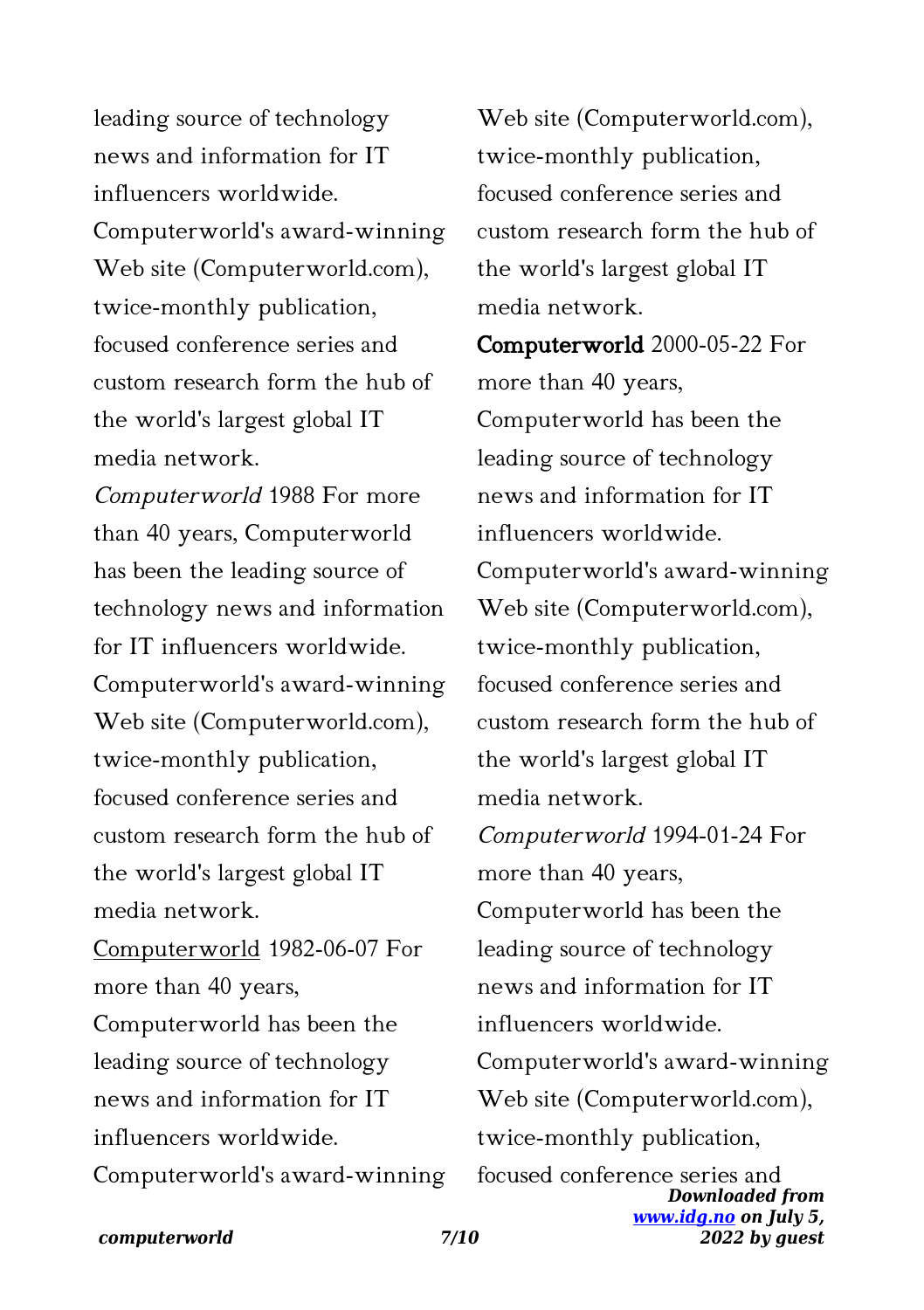leading source of technology news and information for IT influencers worldwide. Computerworld's award-winning Web site (Computerworld.com), twice-monthly publication, focused conference series and custom research form the hub of the world's largest global IT media network.

Computerworld 1988 For more than 40 years, Computerworld has been the leading source of technology news and information for IT influencers worldwide. Computerworld's award-winning Web site (Computerworld.com), twice-monthly publication, focused conference series and custom research form the hub of the world's largest global IT media network. Computerworld 1982-06-07 For more than 40 years, Computerworld has been the leading source of technology news and information for IT influencers worldwide.

Computerworld's award-winning

Web site (Computerworld.com), twice-monthly publication, focused conference series and custom research form the hub of the world's largest global IT media network.

*Downloaded from [www.idg.no](http://www.idg.no) on July 5,* Computerworld 2000-05-22 For more than 40 years, Computerworld has been the leading source of technology news and information for IT influencers worldwide. Computerworld's award-winning Web site (Computerworld.com), twice-monthly publication, focused conference series and custom research form the hub of the world's largest global IT media network. Computerworld 1994-01-24 For more than 40 years, Computerworld has been the leading source of technology news and information for IT influencers worldwide. Computerworld's award-winning Web site (Computerworld.com), twice-monthly publication, focused conference series and

*2022 by guest*

*computerworld 7/10*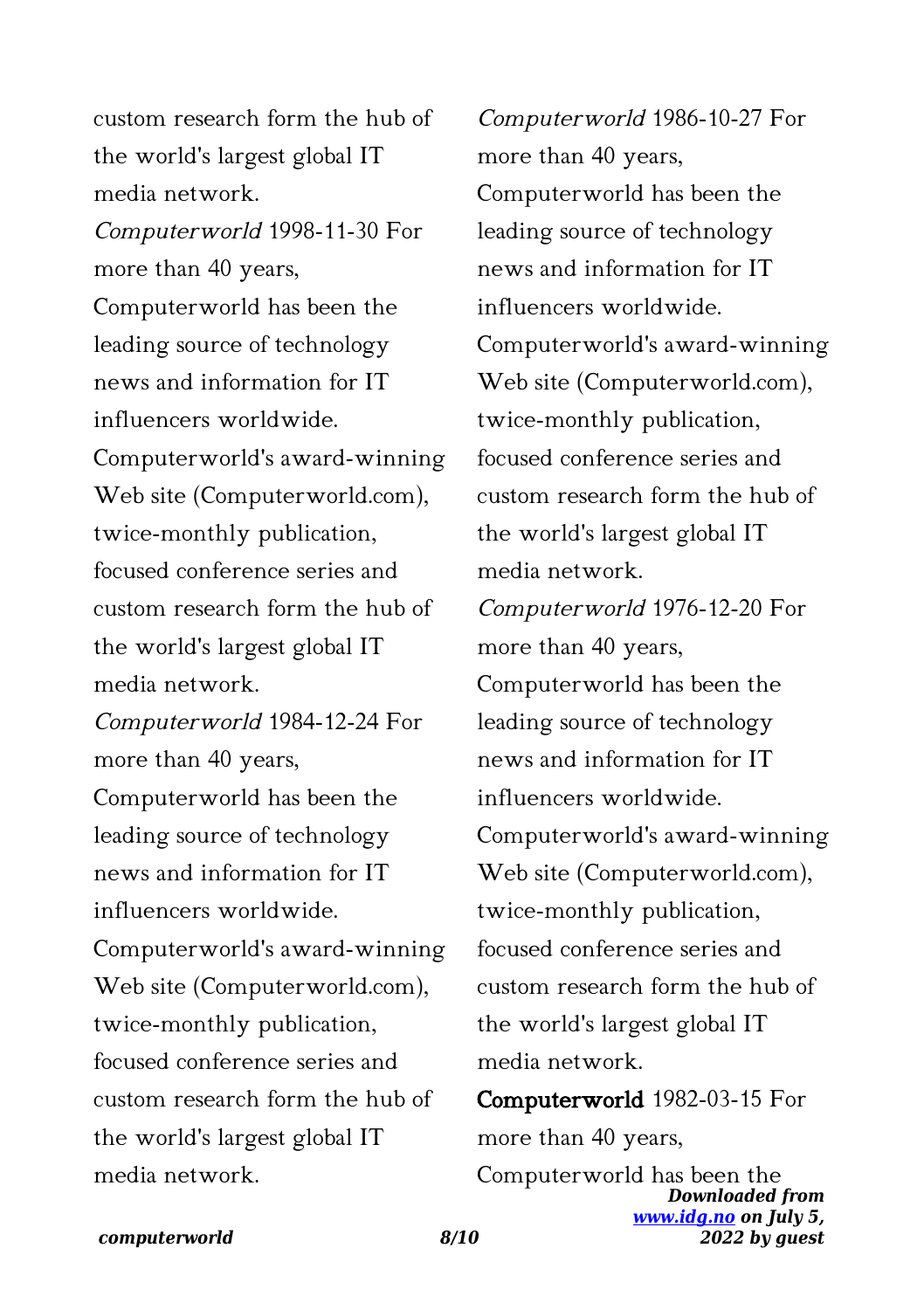custom research form the hub of the world's largest global IT media network. Computerworld 1998-11-30 For more than 40 years, Computerworld has been the leading source of technology news and information for IT influencers worldwide. Computerworld's award-winning Web site (Computerworld.com), twice-monthly publication, focused conference series and custom research form the hub of the world's largest global IT media network. Computerworld 1984-12-24 For more than 40 years, Computerworld has been the leading source of technology news and information for IT influencers worldwide. Computerworld's award-winning Web site (Computerworld.com), twice-monthly publication, focused conference series and custom research form the hub of the world's largest global IT media network.

Computerworld 1986-10-27 For more than 40 years, Computerworld has been the leading source of technology news and information for IT influencers worldwide. Computerworld's award-winning Web site (Computerworld.com), twice-monthly publication, focused conference series and custom research form the hub of the world's largest global IT media network. Computerworld 1976-12-20 For more than 40 years, Computerworld has been the leading source of technology news and information for IT influencers worldwide. Computerworld's award-winning Web site (Computerworld.com), twice-monthly publication, focused conference series and custom research form the hub of the world's largest global IT media network.

Computerworld 1982-03-15 For more than 40 years,

*Downloaded from [www.idg.no](http://www.idg.no) on July 5, 2022 by guest* Computerworld has been the

## *computerworld 8/10*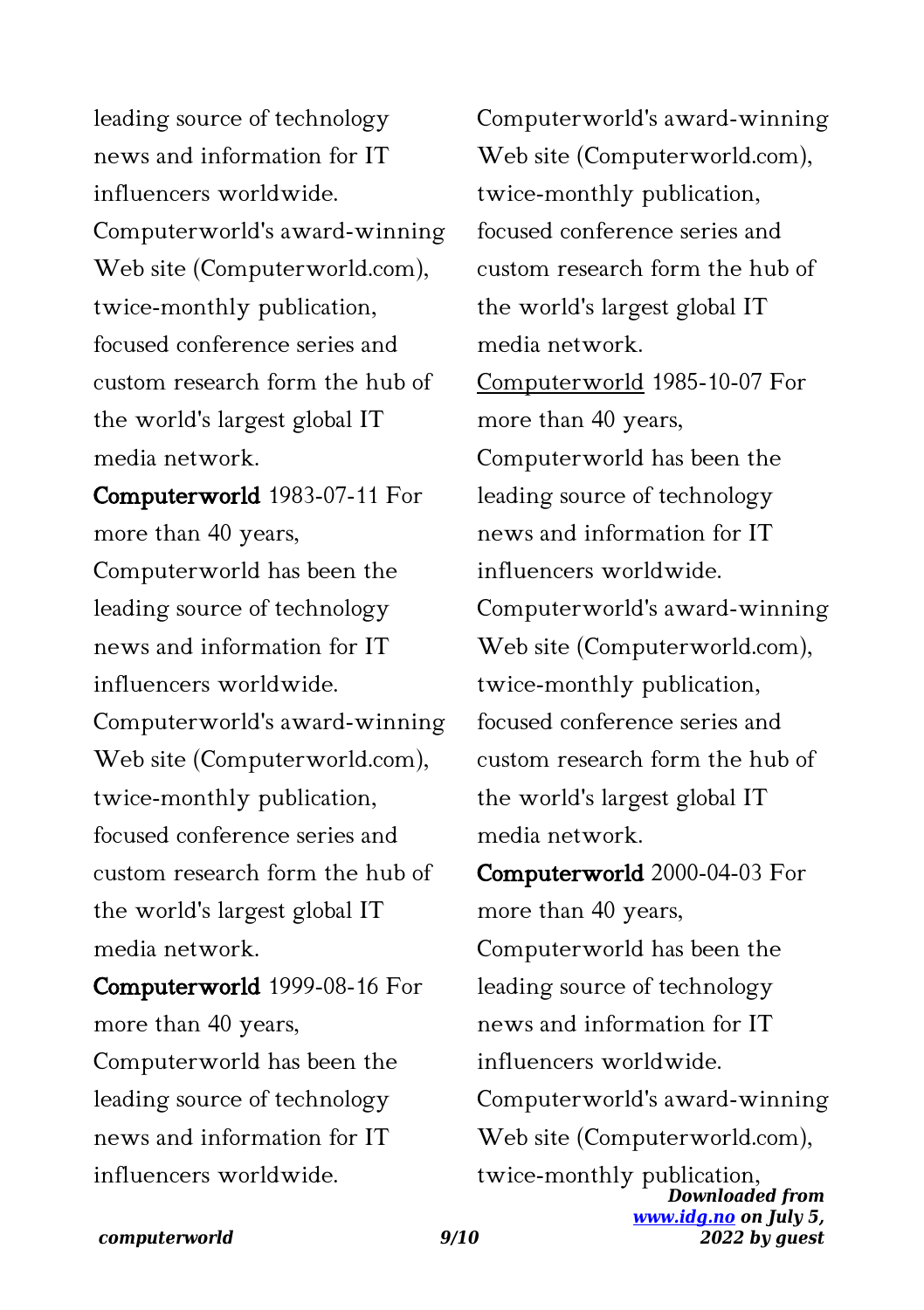leading source of technology news and information for IT influencers worldwide. Computerworld's award-winning Web site (Computerworld.com), twice-monthly publication, focused conference series and custom research form the hub of the world's largest global IT media network.

Computerworld 1983-07-11 For more than 40 years, Computerworld has been the leading source of technology news and information for IT influencers worldwide. Computerworld's award-winning Web site (Computerworld.com), twice-monthly publication, focused conference series and custom research form the hub of the world's largest global IT media network.

Computerworld 1999-08-16 For more than 40 years, Computerworld has been the leading source of technology news and information for IT influencers worldwide.

Computerworld's award-winning Web site (Computerworld.com), twice-monthly publication, focused conference series and custom research form the hub of the world's largest global IT media network. Computerworld 1985-10-07 For more than 40 years, Computerworld has been the leading source of technology news and information for IT influencers worldwide. Computerworld's award-winning Web site (Computerworld.com), twice-monthly publication, focused conference series and custom research form the hub of the world's largest global IT media network.

*Downloaded from [www.idg.no](http://www.idg.no) on July 5,* Computerworld 2000-04-03 For more than 40 years, Computerworld has been the leading source of technology news and information for IT influencers worldwide. Computerworld's award-winning Web site (Computerworld.com), twice-monthly publication,

*2022 by guest*